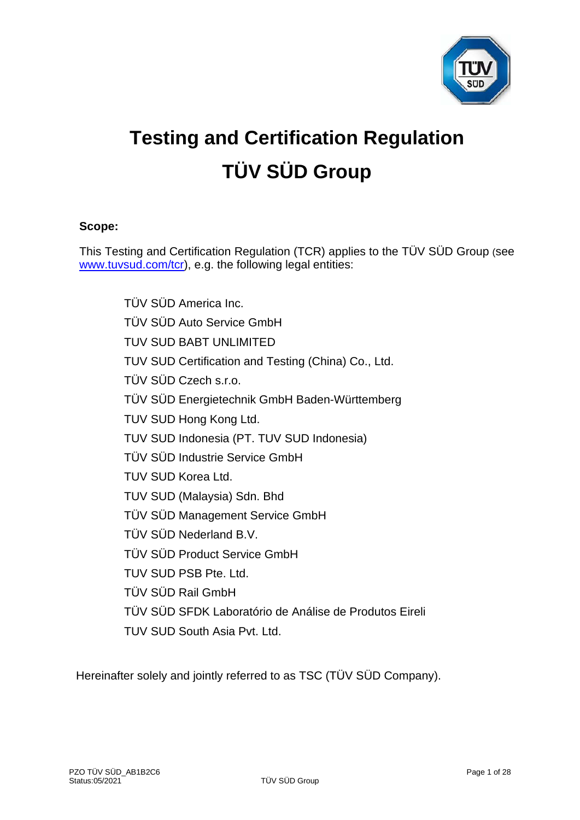

# **Testing and Certification Regulation TÜV SÜD Group**

# **Scope:**

This Testing and Certification Regulation (TCR) applies to the TÜV SÜD Group (see [www.tuvsud.com/tcr\)](http://www.tuvsud.com/tcr), e.g. the following legal entities:

> TÜV SÜD America Inc. TÜV SÜD Auto Service GmbH TUV SUD BABT UNLIMITED TUV SUD Certification and Testing (China) Co., Ltd. TÜV SÜD Czech s.r.o. TÜV SÜD Energietechnik GmbH Baden-Württemberg TUV SUD Hong Kong Ltd. TUV SUD Indonesia (PT. TUV SUD Indonesia) TÜV SÜD Industrie Service GmbH TUV SUD Korea Ltd. TUV SUD (Malaysia) Sdn. Bhd TÜV SÜD Management Service GmbH TÜV SÜD Nederland B.V. TÜV SÜD Product Service GmbH TUV SUD PSB Pte. Ltd. TÜV SÜD Rail GmbH TÜV SÜD SFDK Laboratório de Análise de Produtos Eireli TUV SUD South Asia Pvt. Ltd.

Hereinafter solely and jointly referred to as TSC (TÜV SÜD Company).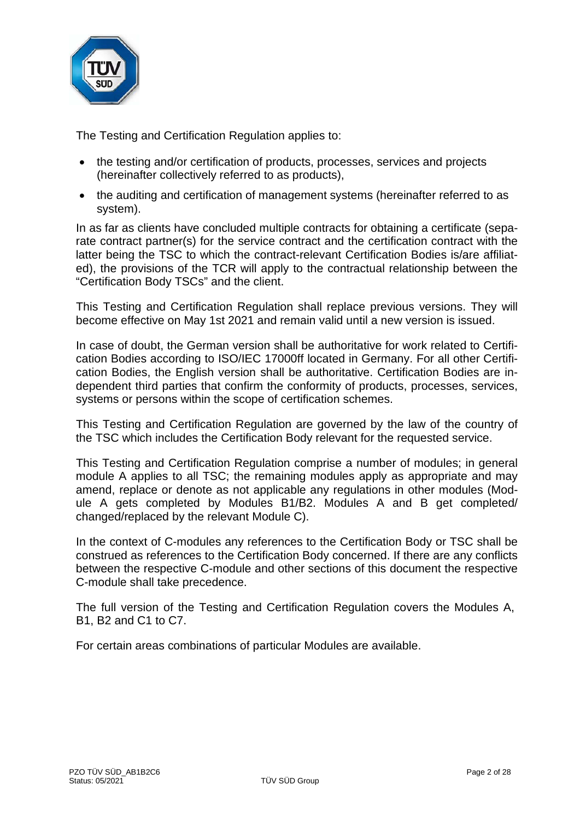

The Testing and Certification Regulation applies to:

- the testing and/or certification of products, processes, services and projects (hereinafter collectively referred to as products),
- the auditing and certification of management systems (hereinafter referred to as system).

In as far as clients have concluded multiple contracts for obtaining a certificate (separate contract partner(s) for the service contract and the certification contract with the latter being the TSC to which the contract-relevant Certification Bodies is/are affiliated), the provisions of the TCR will apply to the contractual relationship between the "Certification Body TSCs" and the client.

This Testing and Certification Regulation shall replace previous versions. They will become effective on May 1st 2021 and remain valid until a new version is issued.

In case of doubt, the German version shall be authoritative for work related to Certification Bodies according to ISO/IEC 17000ff located in Germany. For all other Certification Bodies, the English version shall be authoritative. Certification Bodies are independent third parties that confirm the conformity of products, processes, services, systems or persons within the scope of certification schemes.

This Testing and Certification Regulation are governed by the law of the country of the TSC which includes the Certification Body relevant for the requested service.

This Testing and Certification Regulation comprise a number of modules; in general module A applies to all TSC; the remaining modules apply as appropriate and may amend, replace or denote as not applicable any regulations in other modules (Module A gets completed by Modules B1/B2. Modules A and B get completed/ changed/replaced by the relevant Module C).

In the context of C-modules any references to the Certification Body or TSC shall be construed as references to the Certification Body concerned. If there are any conflicts between the respective C-module and other sections of this document the respective C-module shall take precedence.

The full version of the Testing and Certification Regulation covers the Modules A, B1, B2 and C1 to C7.

For certain areas combinations of particular Modules are available.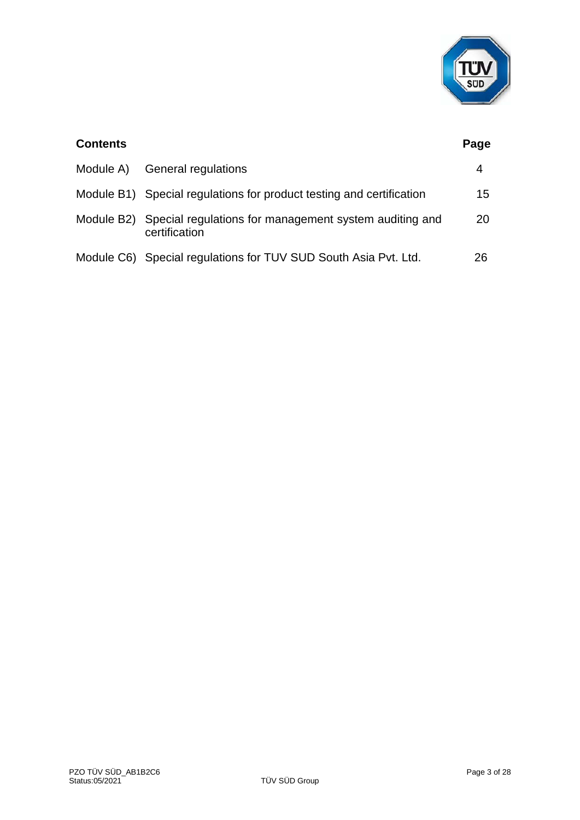

| <b>Contents</b> |                                                                                    | Page |
|-----------------|------------------------------------------------------------------------------------|------|
| Module A)       | <b>General regulations</b>                                                         | 4    |
|                 | Module B1) Special regulations for product testing and certification               | 15   |
|                 | Module B2) Special regulations for management system auditing and<br>certification | 20   |
|                 | Module C6) Special regulations for TUV SUD South Asia Pvt. Ltd.                    | 26   |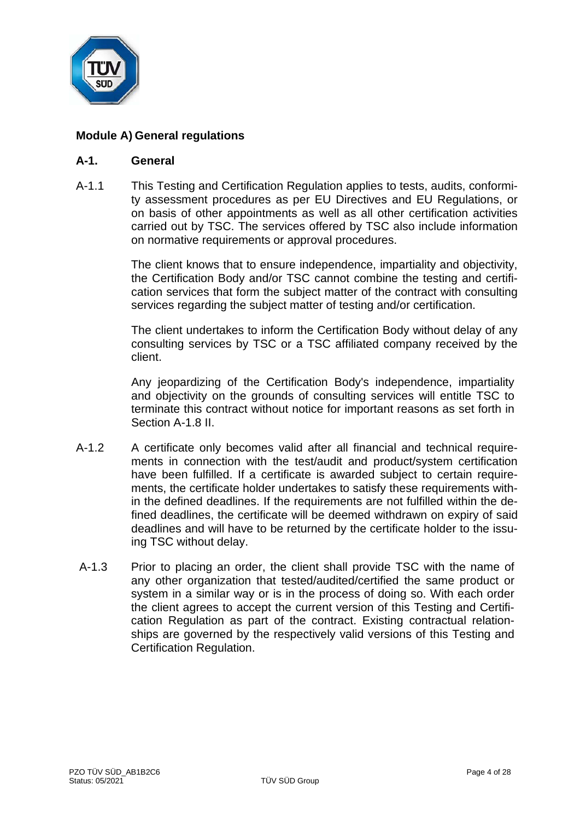

# **Module A) General regulations**

## **A-1. General**

A-1.1 This Testing and Certification Regulation applies to tests, audits, conformity assessment procedures as per EU Directives and EU Regulations, or on basis of other appointments as well as all other certification activities carried out by TSC. The services offered by TSC also include information on normative requirements or approval procedures.

> The client knows that to ensure independence, impartiality and objectivity, the Certification Body and/or TSC cannot combine the testing and certification services that form the subject matter of the contract with consulting services regarding the subject matter of testing and/or certification.

> The client undertakes to inform the Certification Body without delay of any consulting services by TSC or a TSC affiliated company received by the client.

> Any jeopardizing of the Certification Body's independence, impartiality and objectivity on the grounds of consulting services will entitle TSC to terminate this contract without notice for important reasons as set forth in Section A-1.8 II.

- A-1.2 A certificate only becomes valid after all financial and technical requirements in connection with the test/audit and product/system certification have been fulfilled. If a certificate is awarded subject to certain requirements, the certificate holder undertakes to satisfy these requirements within the defined deadlines. If the requirements are not fulfilled within the defined deadlines, the certificate will be deemed withdrawn on expiry of said deadlines and will have to be returned by the certificate holder to the issuing TSC without delay.
- A-1.3 Prior to placing an order, the client shall provide TSC with the name of any other organization that tested/audited/certified the same product or system in a similar way or is in the process of doing so. With each order the client agrees to accept the current version of this Testing and Certification Regulation as part of the contract. Existing contractual relationships are governed by the respectively valid versions of this Testing and Certification Regulation.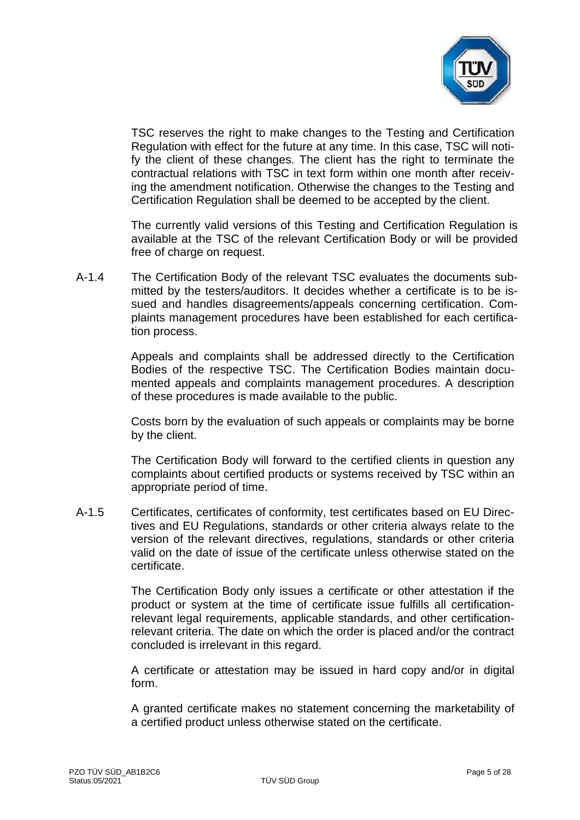

TSC reserves the right to make changes to the Testing and Certification Regulation with effect for the future at any time. In this case, TSC will notify the client of these changes. The client has the right to terminate the contractual relations with TSC in text form within one month after receiving the amendment notification. Otherwise the changes to the Testing and Certification Regulation shall be deemed to be accepted by the client.

The currently valid versions of this Testing and Certification Regulation is available at the TSC of the relevant Certification Body or will be provided free of charge on request.

A-1.4 The Certification Body of the relevant TSC evaluates the documents submitted by the testers/auditors. It decides whether a certificate is to be issued and handles disagreements/appeals concerning certification. Complaints management procedures have been established for each certification process.

> Appeals and complaints shall be addressed directly to the Certification Bodies of the respective TSC. The Certification Bodies maintain documented appeals and complaints management procedures. A description of these procedures is made available to the public.

> Costs born by the evaluation of such appeals or complaints may be borne by the client.

> The Certification Body will forward to the certified clients in question any complaints about certified products or systems received by TSC within an appropriate period of time.

A-1.5 Certificates, certificates of conformity, test certificates based on EU Directives and EU Regulations, standards or other criteria always relate to the version of the relevant directives, regulations, standards or other criteria valid on the date of issue of the certificate unless otherwise stated on the certificate.

> The Certification Body only issues a certificate or other attestation if the product or system at the time of certificate issue fulfills all certificationrelevant legal requirements, applicable standards, and other certificationrelevant criteria. The date on which the order is placed and/or the contract concluded is irrelevant in this regard.

> A certificate or attestation may be issued in hard copy and/or in digital form.

> A granted certificate makes no statement concerning the marketability of a certified product unless otherwise stated on the certificate.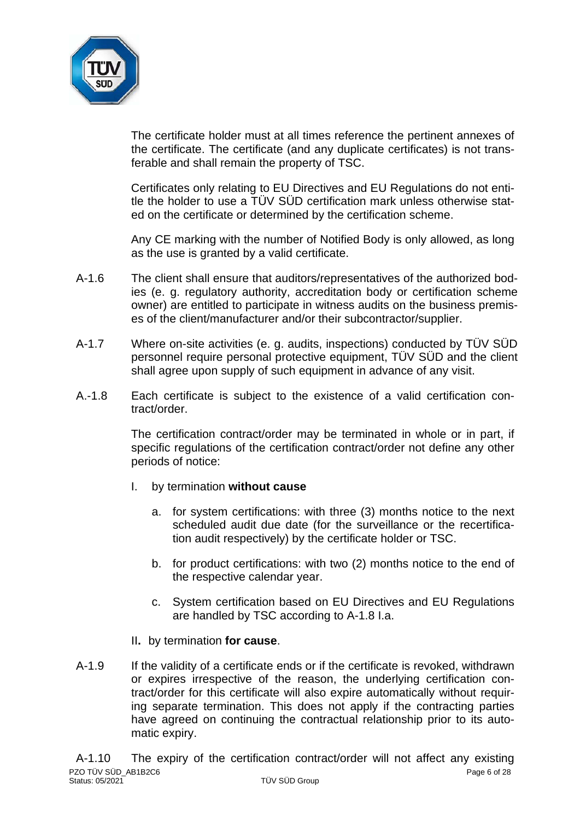

The certificate holder must at all times reference the pertinent annexes of the certificate. The certificate (and any duplicate certificates) is not transferable and shall remain the property of TSC.

Certificates only relating to EU Directives and EU Regulations do not entitle the holder to use a TÜV SÜD certification mark unless otherwise stated on the certificate or determined by the certification scheme.

Any CE marking with the number of Notified Body is only allowed, as long as the use is granted by a valid certificate.

- A-1.6 The client shall ensure that auditors/representatives of the authorized bodies (e. g. regulatory authority, accreditation body or certification scheme owner) are entitled to participate in witness audits on the business premises of the client/manufacturer and/or their subcontractor/supplier.
- A-1.7 Where on-site activities (e. g. audits, inspections) conducted by TÜV SÜD personnel require personal protective equipment, TÜV SÜD and the client shall agree upon supply of such equipment in advance of any visit.
- A.-1.8 Each certificate is subject to the existence of a valid certification contract/order.

The certification contract/order may be terminated in whole or in part, if specific regulations of the certification contract/order not define any other periods of notice:

- I. by termination **without cause**
	- a. for system certifications: with three (3) months notice to the next scheduled audit due date (for the surveillance or the recertification audit respectively) by the certificate holder or TSC.
	- b. for product certifications: with two (2) months notice to the end of the respective calendar year.
	- c. System certification based on EU Directives and EU Regulations are handled by TSC according to A-1.8 I.a.
- II**.** by termination **for cause**.
- A-1.9 If the validity of a certificate ends or if the certificate is revoked, withdrawn or expires irrespective of the reason, the underlying certification contract/order for this certificate will also expire automatically without requiring separate termination. This does not apply if the contracting parties have agreed on continuing the contractual relationship prior to its automatic expiry.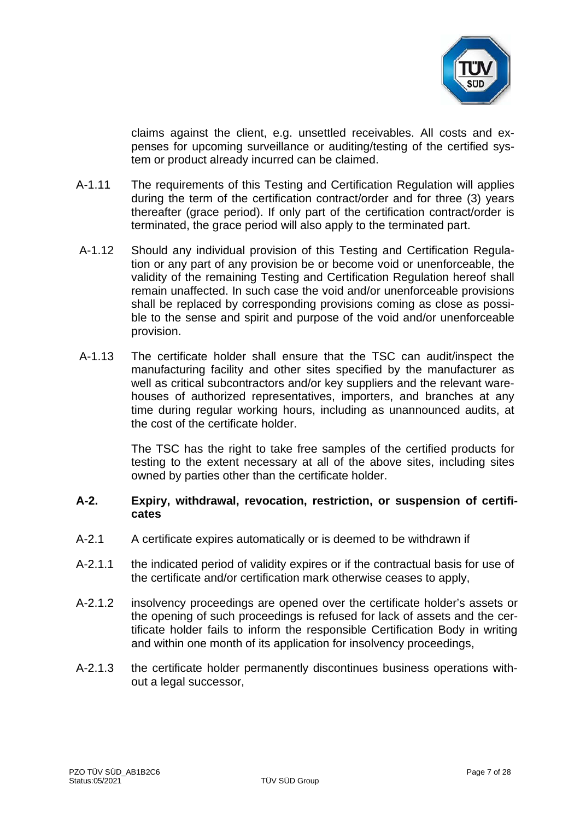

claims against the client, e.g. unsettled receivables. All costs and expenses for upcoming surveillance or auditing/testing of the certified system or product already incurred can be claimed.

- A-1.11 The requirements of this Testing and Certification Regulation will applies during the term of the certification contract/order and for three (3) years thereafter (grace period). If only part of the certification contract/order is terminated, the grace period will also apply to the terminated part.
- A-1.12 Should any individual provision of this Testing and Certification Regulation or any part of any provision be or become void or unenforceable, the validity of the remaining Testing and Certification Regulation hereof shall remain unaffected. In such case the void and/or unenforceable provisions shall be replaced by corresponding provisions coming as close as possible to the sense and spirit and purpose of the void and/or unenforceable provision.
- A-1.13 The certificate holder shall ensure that the TSC can audit/inspect the manufacturing facility and other sites specified by the manufacturer as well as critical subcontractors and/or key suppliers and the relevant warehouses of authorized representatives, importers, and branches at any time during regular working hours, including as unannounced audits, at the cost of the certificate holder.

The TSC has the right to take free samples of the certified products for testing to the extent necessary at all of the above sites, including sites owned by parties other than the certificate holder.

## **A-2. Expiry, withdrawal, revocation, restriction, or suspension of certificates**

- A-2.1 A certificate expires automatically or is deemed to be withdrawn if
- A-2.1.1 the indicated period of validity expires or if the contractual basis for use of the certificate and/or certification mark otherwise ceases to apply,
- A-2.1.2 insolvency proceedings are opened over the certificate holder's assets or the opening of such proceedings is refused for lack of assets and the certificate holder fails to inform the responsible Certification Body in writing and within one month of its application for insolvency proceedings,
- A-2.1.3 the certificate holder permanently discontinues business operations without a legal successor,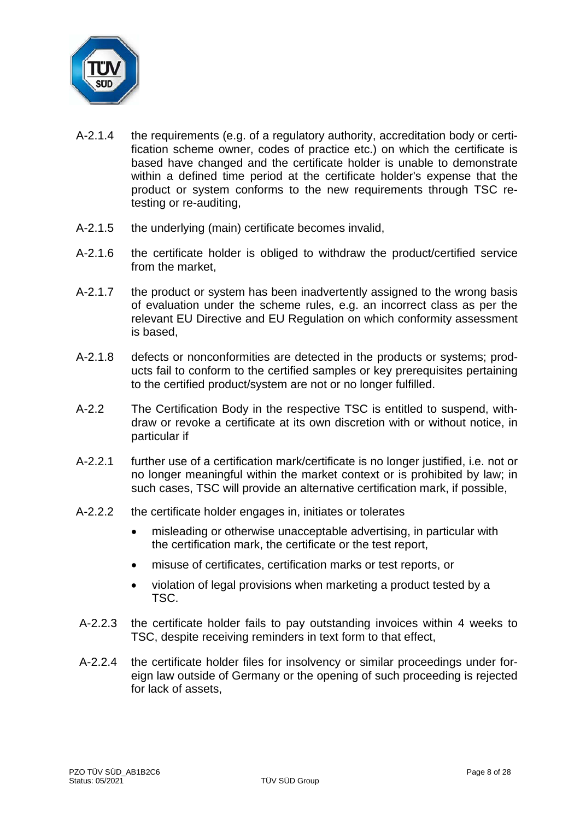

- A-2.1.4 the requirements (e.g. of a regulatory authority, accreditation body or certification scheme owner, codes of practice etc.) on which the certificate is based have changed and the certificate holder is unable to demonstrate within a defined time period at the certificate holder's expense that the product or system conforms to the new requirements through TSC retesting or re-auditing,
- A-2.1.5 the underlying (main) certificate becomes invalid,
- A-2.1.6 the certificate holder is obliged to withdraw the product/certified service from the market,
- A-2.1.7 the product or system has been inadvertently assigned to the wrong basis of evaluation under the scheme rules, e.g. an incorrect class as per the relevant EU Directive and EU Regulation on which conformity assessment is based,
- A-2.1.8 defects or nonconformities are detected in the products or systems; products fail to conform to the certified samples or key prerequisites pertaining to the certified product/system are not or no longer fulfilled.
- A-2.2 The Certification Body in the respective TSC is entitled to suspend, withdraw or revoke a certificate at its own discretion with or without notice, in particular if
- A-2.2.1 further use of a certification mark/certificate is no longer justified, i.e. not or no longer meaningful within the market context or is prohibited by law; in such cases, TSC will provide an alternative certification mark, if possible,
- A-2.2.2 the certificate holder engages in, initiates or tolerates
	- misleading or otherwise unacceptable advertising, in particular with the certification mark, the certificate or the test report,
	- misuse of certificates, certification marks or test reports, or
	- violation of legal provisions when marketing a product tested by a TSC.
- A-2.2.3 the certificate holder fails to pay outstanding invoices within 4 weeks to TSC, despite receiving reminders in text form to that effect,
- A-2.2.4 the certificate holder files for insolvency or similar proceedings under foreign law outside of Germany or the opening of such proceeding is rejected for lack of assets,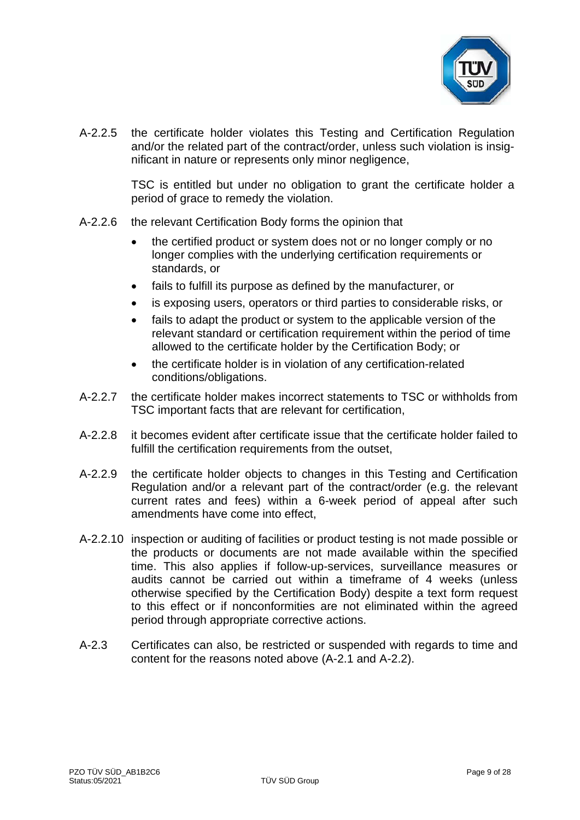

A-2.2.5 the certificate holder violates this Testing and Certification Regulation and/or the related part of the contract/order, unless such violation is insignificant in nature or represents only minor negligence,

> TSC is entitled but under no obligation to grant the certificate holder a period of grace to remedy the violation.

- A-2.2.6 the relevant Certification Body forms the opinion that
	- the certified product or system does not or no longer comply or no longer complies with the underlying certification requirements or standards, or
	- fails to fulfill its purpose as defined by the manufacturer, or
	- is exposing users, operators or third parties to considerable risks, or
	- fails to adapt the product or system to the applicable version of the relevant standard or certification requirement within the period of time allowed to the certificate holder by the Certification Body; or
	- the certificate holder is in violation of any certification-related conditions/obligations.
- A-2.2.7 the certificate holder makes incorrect statements to TSC or withholds from TSC important facts that are relevant for certification,
- A-2.2.8 it becomes evident after certificate issue that the certificate holder failed to fulfill the certification requirements from the outset,
- A-2.2.9 the certificate holder objects to changes in this Testing and Certification Regulation and/or a relevant part of the contract/order (e.g. the relevant current rates and fees) within a 6-week period of appeal after such amendments have come into effect,
- A-2.2.10 inspection or auditing of facilities or product testing is not made possible or the products or documents are not made available within the specified time. This also applies if follow-up-services, surveillance measures or audits cannot be carried out within a timeframe of 4 weeks (unless otherwise specified by the Certification Body) despite a text form request to this effect or if nonconformities are not eliminated within the agreed period through appropriate corrective actions.
- A-2.3 Certificates can also, be restricted or suspended with regards to time and content for the reasons noted above (A-2.1 and A-2.2).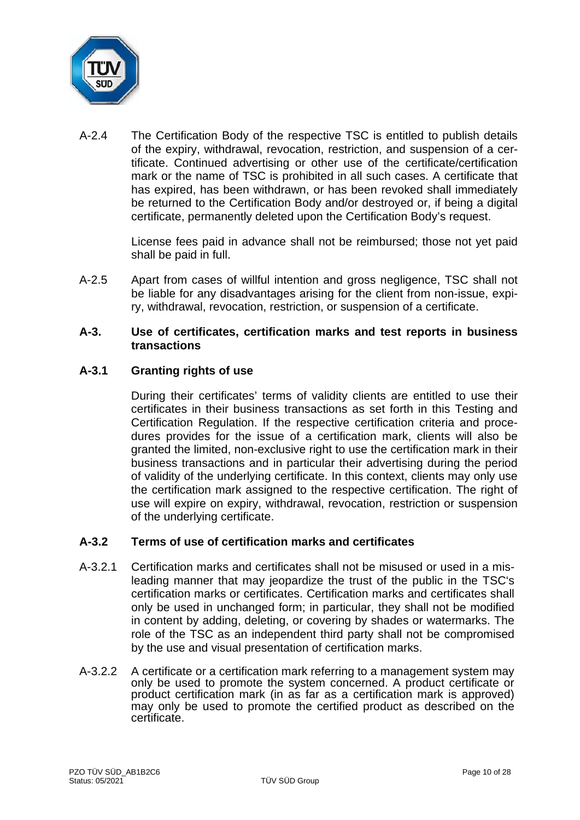

A-2.4 The Certification Body of the respective TSC is entitled to publish details of the expiry, withdrawal, revocation, restriction, and suspension of a certificate. Continued advertising or other use of the certificate/certification mark or the name of TSC is prohibited in all such cases. A certificate that has expired, has been withdrawn, or has been revoked shall immediately be returned to the Certification Body and/or destroyed or, if being a digital certificate, permanently deleted upon the Certification Body's request.

> License fees paid in advance shall not be reimbursed; those not yet paid shall be paid in full.

A-2.5 Apart from cases of willful intention and gross negligence, TSC shall not be liable for any disadvantages arising for the client from non-issue, expiry, withdrawal, revocation, restriction, or suspension of a certificate.

## **A-3. Use of certificates, certification marks and test reports in business transactions**

# **A-3.1 Granting rights of use**

During their certificates' terms of validity clients are entitled to use their certificates in their business transactions as set forth in this Testing and Certification Regulation. If the respective certification criteria and procedures provides for the issue of a certification mark, clients will also be granted the limited, non-exclusive right to use the certification mark in their business transactions and in particular their advertising during the period of validity of the underlying certificate. In this context, clients may only use the certification mark assigned to the respective certification. The right of use will expire on expiry, withdrawal, revocation, restriction or suspension of the underlying certificate.

# **A-3.2 Terms of use of certification marks and certificates**

- A-3.2.1 Certification marks and certificates shall not be misused or used in a misleading manner that may jeopardize the trust of the public in the TSC's certification marks or certificates. Certification marks and certificates shall only be used in unchanged form; in particular, they shall not be modified in content by adding, deleting, or covering by shades or watermarks. The role of the TSC as an independent third party shall not be compromised by the use and visual presentation of certification marks.
- A-3.2.2 A certificate or a certification mark referring to a management system may only be used to promote the system concerned. A product certificate or product certification mark (in as far as a certification mark is approved) may only be used to promote the certified product as described on the certificate.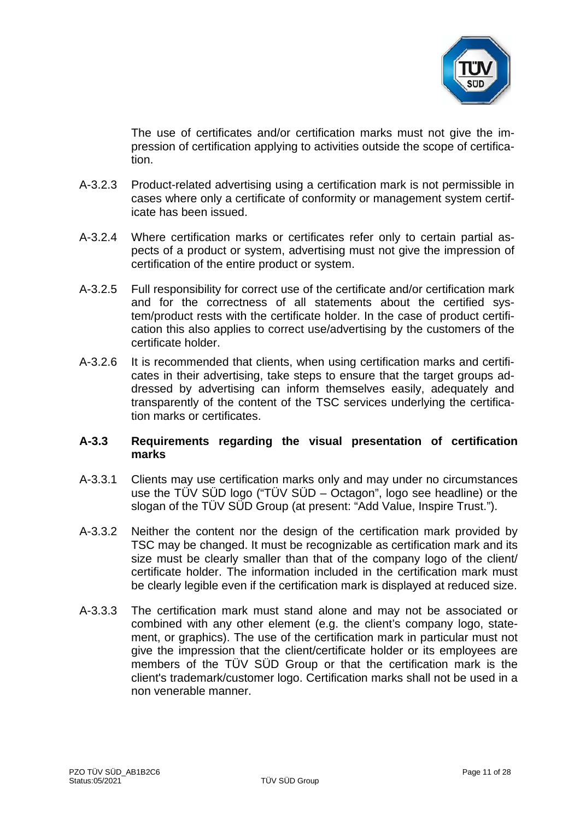

The use of certificates and/or certification marks must not give the impression of certification applying to activities outside the scope of certification.

- A-3.2.3 Product-related advertising using a certification mark is not permissible in cases where only a certificate of conformity or management system certificate has been issued.
- A-3.2.4 Where certification marks or certificates refer only to certain partial aspects of a product or system, advertising must not give the impression of certification of the entire product or system.
- A-3.2.5 Full responsibility for correct use of the certificate and/or certification mark and for the correctness of all statements about the certified system/product rests with the certificate holder. In the case of product certification this also applies to correct use/advertising by the customers of the certificate holder.
- A-3.2.6 It is recommended that clients, when using certification marks and certificates in their advertising, take steps to ensure that the target groups addressed by advertising can inform themselves easily, adequately and transparently of the content of the TSC services underlying the certification marks or certificates.

## **A-3.3 Requirements regarding the visual presentation of certification marks**

- A-3.3.1 Clients may use certification marks only and may under no circumstances use the TÜV SÜD logo ("TÜV SÜD – Octagon", logo see headline) or the slogan of the TÜV SÜD Group (at present: "Add Value, Inspire Trust.").
- A-3.3.2 Neither the content nor the design of the certification mark provided by TSC may be changed. It must be recognizable as certification mark and its size must be clearly smaller than that of the company logo of the client/ certificate holder. The information included in the certification mark must be clearly legible even if the certification mark is displayed at reduced size.
- A-3.3.3 The certification mark must stand alone and may not be associated or combined with any other element (e.g. the client's company logo, statement, or graphics). The use of the certification mark in particular must not give the impression that the client/certificate holder or its employees are members of the TÜV SÜD Group or that the certification mark is the client's trademark/customer logo. Certification marks shall not be used in a non venerable manner.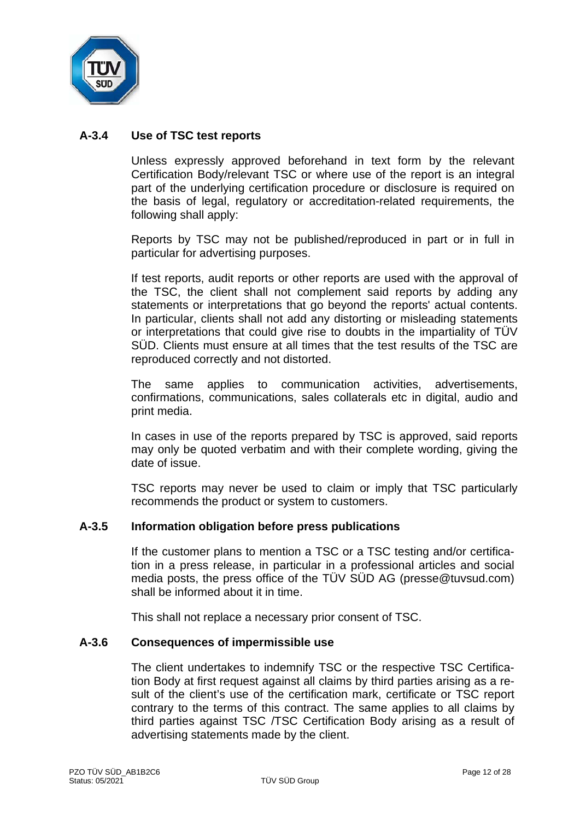

# **A-3.4 Use of TSC test reports**

Unless expressly approved beforehand in text form by the relevant Certification Body/relevant TSC or where use of the report is an integral part of the underlying certification procedure or disclosure is required on the basis of legal, regulatory or accreditation-related requirements, the following shall apply:

Reports by TSC may not be published/reproduced in part or in full in particular for advertising purposes.

If test reports, audit reports or other reports are used with the approval of the TSC, the client shall not complement said reports by adding any statements or interpretations that go beyond the reports' actual contents. In particular, clients shall not add any distorting or misleading statements or interpretations that could give rise to doubts in the impartiality of TÜV SÜD. Clients must ensure at all times that the test results of the TSC are reproduced correctly and not distorted.

The same applies to communication activities, advertisements, confirmations, communications, sales collaterals etc in digital, audio and print media.

In cases in use of the reports prepared by TSC is approved, said reports may only be quoted verbatim and with their complete wording, giving the date of issue.

TSC reports may never be used to claim or imply that TSC particularly recommends the product or system to customers.

#### **A-3.5 Information obligation before press publications**

If the customer plans to mention a TSC or a TSC testing and/or certification in a press release, in particular in a professional articles and social media posts, the press office of the TÜV SÜD AG (presse@tuvsud.com) shall be informed about it in time.

This shall not replace a necessary prior consent of TSC.

#### **A-3.6 Consequences of impermissible use**

The client undertakes to indemnify TSC or the respective TSC Certification Body at first request against all claims by third parties arising as a result of the client's use of the certification mark, certificate or TSC report contrary to the terms of this contract. The same applies to all claims by third parties against TSC /TSC Certification Body arising as a result of advertising statements made by the client.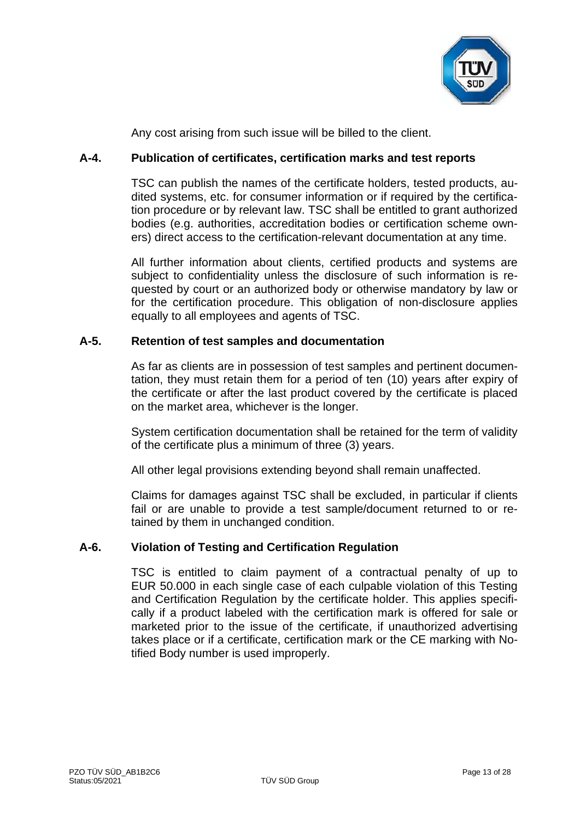

Any cost arising from such issue will be billed to the client.

# **A-4. Publication of certificates, certification marks and test reports**

TSC can publish the names of the certificate holders, tested products, audited systems, etc. for consumer information or if required by the certification procedure or by relevant law. TSC shall be entitled to grant authorized bodies (e.g. authorities, accreditation bodies or certification scheme owners) direct access to the certification-relevant documentation at any time.

All further information about clients, certified products and systems are subject to confidentiality unless the disclosure of such information is requested by court or an authorized body or otherwise mandatory by law or for the certification procedure. This obligation of non-disclosure applies equally to all employees and agents of TSC.

# **A-5. Retention of test samples and documentation**

As far as clients are in possession of test samples and pertinent documentation, they must retain them for a period of ten (10) years after expiry of the certificate or after the last product covered by the certificate is placed on the market area, whichever is the longer.

System certification documentation shall be retained for the term of validity of the certificate plus a minimum of three (3) years.

All other legal provisions extending beyond shall remain unaffected.

Claims for damages against TSC shall be excluded, in particular if clients fail or are unable to provide a test sample/document returned to or retained by them in unchanged condition.

# **A-6. Violation of Testing and Certification Regulation**

TSC is entitled to claim payment of a contractual penalty of up to EUR 50.000 in each single case of each culpable violation of this Testing and Certification Regulation by the certificate holder. This applies specifically if a product labeled with the certification mark is offered for sale or marketed prior to the issue of the certificate, if unauthorized advertising takes place or if a certificate, certification mark or the CE marking with Notified Body number is used improperly.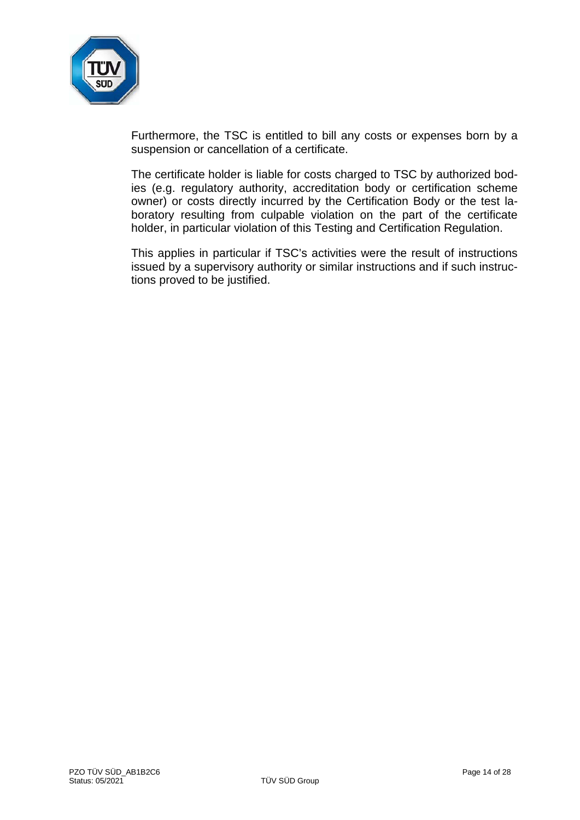

Furthermore, the TSC is entitled to bill any costs or expenses born by a suspension or cancellation of a certificate.

The certificate holder is liable for costs charged to TSC by authorized bodies (e.g. regulatory authority, accreditation body or certification scheme owner) or costs directly incurred by the Certification Body or the test laboratory resulting from culpable violation on the part of the certificate holder, in particular violation of this Testing and Certification Regulation.

This applies in particular if TSC's activities were the result of instructions issued by a supervisory authority or similar instructions and if such instructions proved to be justified.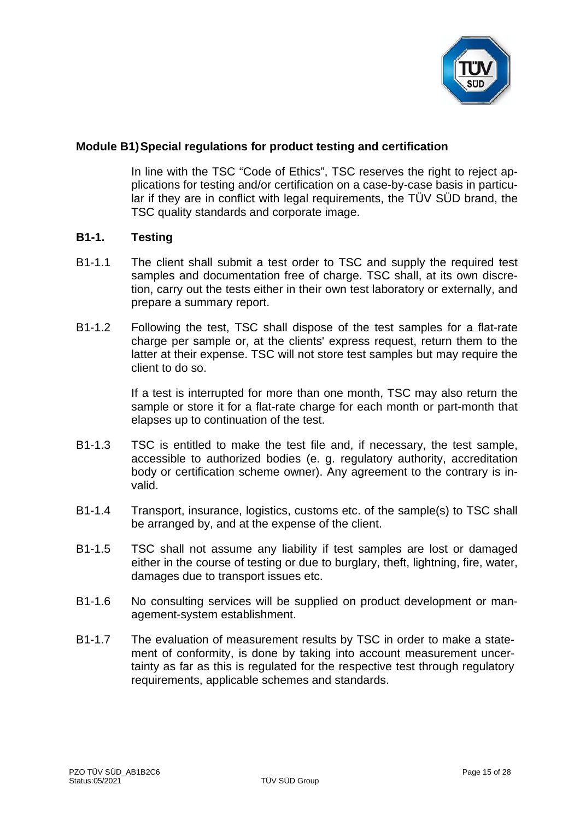

# **Module B1)Special regulations for product testing and certification**

In line with the TSC "Code of Ethics", TSC reserves the right to reject applications for testing and/or certification on a case-by-case basis in particular if they are in conflict with legal requirements, the TÜV SÜD brand, the TSC quality standards and corporate image.

# **B1-1. Testing**

- B1-1.1 The client shall submit a test order to TSC and supply the required test samples and documentation free of charge. TSC shall, at its own discretion, carry out the tests either in their own test laboratory or externally, and prepare a summary report.
- B1-1.2 Following the test, TSC shall dispose of the test samples for a flat-rate charge per sample or, at the clients' express request, return them to the latter at their expense. TSC will not store test samples but may require the client to do so.

If a test is interrupted for more than one month, TSC may also return the sample or store it for a flat-rate charge for each month or part-month that elapses up to continuation of the test.

- B1-1.3 TSC is entitled to make the test file and, if necessary, the test sample, accessible to authorized bodies (e. g. regulatory authority, accreditation body or certification scheme owner). Any agreement to the contrary is invalid.
- B1-1.4 Transport, insurance, logistics, customs etc. of the sample(s) to TSC shall be arranged by, and at the expense of the client.
- B1-1.5 TSC shall not assume any liability if test samples are lost or damaged either in the course of testing or due to burglary, theft, lightning, fire, water, damages due to transport issues etc.
- B1-1.6 No consulting services will be supplied on product development or management-system establishment.
- B1-1.7 The evaluation of measurement results by TSC in order to make a statement of conformity, is done by taking into account measurement uncertainty as far as this is regulated for the respective test through regulatory requirements, applicable schemes and standards.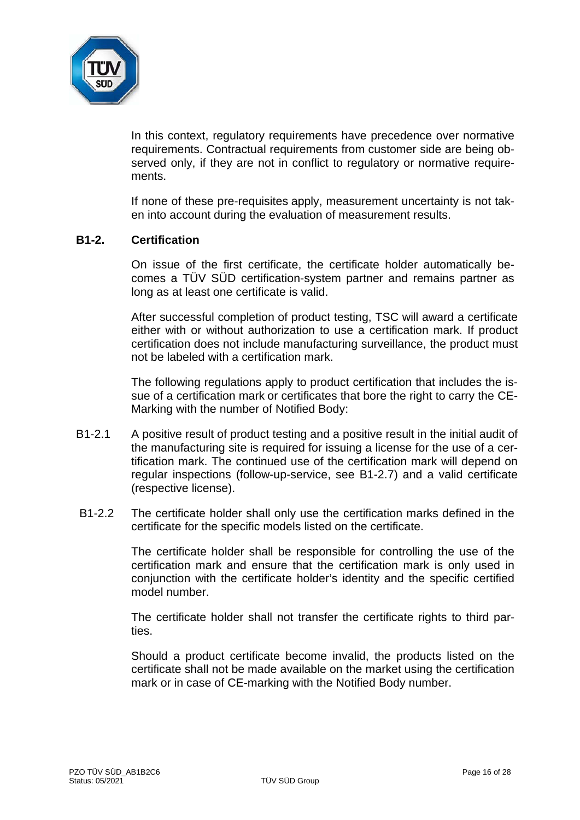

In this context, regulatory requirements have precedence over normative requirements. Contractual requirements from customer side are being observed only, if they are not in conflict to regulatory or normative requirements.

If none of these pre-requisites apply, measurement uncertainty is not taken into account during the evaluation of measurement results.

# **B1-2. Certification**

On issue of the first certificate, the certificate holder automatically becomes a TÜV SÜD certification-system partner and remains partner as long as at least one certificate is valid.

After successful completion of product testing, TSC will award a certificate either with or without authorization to use a certification mark. If product certification does not include manufacturing surveillance, the product must not be labeled with a certification mark.

The following regulations apply to product certification that includes the issue of a certification mark or certificates that bore the right to carry the CE-Marking with the number of Notified Body:

- B1-2.1 A positive result of product testing and a positive result in the initial audit of the manufacturing site is required for issuing a license for the use of a certification mark. The continued use of the certification mark will depend on regular inspections (follow-up-service, see B1-2.7) and a valid certificate (respective license).
- B1-2.2 The certificate holder shall only use the certification marks defined in the certificate for the specific models listed on the certificate.

The certificate holder shall be responsible for controlling the use of the certification mark and ensure that the certification mark is only used in conjunction with the certificate holder's identity and the specific certified model number.

The certificate holder shall not transfer the certificate rights to third parties.

Should a product certificate become invalid, the products listed on the certificate shall not be made available on the market using the certification mark or in case of CE-marking with the Notified Body number.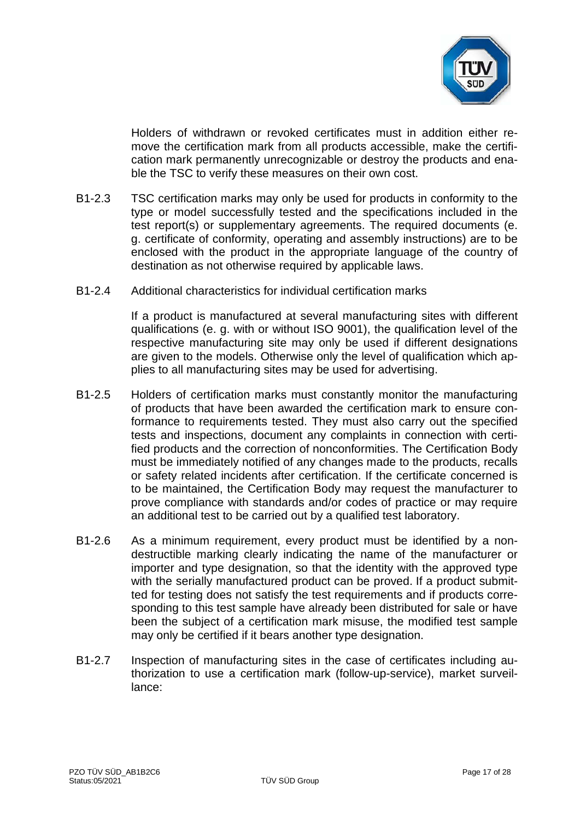

Holders of withdrawn or revoked certificates must in addition either remove the certification mark from all products accessible, make the certification mark permanently unrecognizable or destroy the products and enable the TSC to verify these measures on their own cost.

- B1-2.3 TSC certification marks may only be used for products in conformity to the type or model successfully tested and the specifications included in the test report(s) or supplementary agreements. The required documents (e. g. certificate of conformity, operating and assembly instructions) are to be enclosed with the product in the appropriate language of the country of destination as not otherwise required by applicable laws.
- B1-2.4 Additional characteristics for individual certification marks

If a product is manufactured at several manufacturing sites with different qualifications (e. g. with or without ISO 9001), the qualification level of the respective manufacturing site may only be used if different designations are given to the models. Otherwise only the level of qualification which applies to all manufacturing sites may be used for advertising.

- B1-2.5 Holders of certification marks must constantly monitor the manufacturing of products that have been awarded the certification mark to ensure conformance to requirements tested. They must also carry out the specified tests and inspections, document any complaints in connection with certified products and the correction of nonconformities. The Certification Body must be immediately notified of any changes made to the products, recalls or safety related incidents after certification. If the certificate concerned is to be maintained, the Certification Body may request the manufacturer to prove compliance with standards and/or codes of practice or may require an additional test to be carried out by a qualified test laboratory.
- B1-2.6 As a minimum requirement, every product must be identified by a nondestructible marking clearly indicating the name of the manufacturer or importer and type designation, so that the identity with the approved type with the serially manufactured product can be proved. If a product submitted for testing does not satisfy the test requirements and if products corresponding to this test sample have already been distributed for sale or have been the subject of a certification mark misuse, the modified test sample may only be certified if it bears another type designation.
- B1-2.7 Inspection of manufacturing sites in the case of certificates including authorization to use a certification mark (follow-up-service), market surveillance: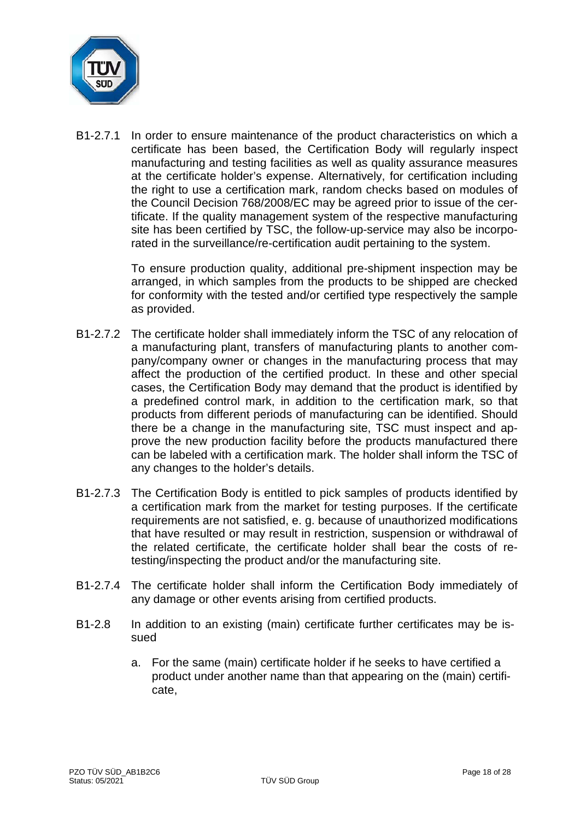

B1-2.7.1 In order to ensure maintenance of the product characteristics on which a certificate has been based, the Certification Body will regularly inspect manufacturing and testing facilities as well as quality assurance measures at the certificate holder's expense. Alternatively, for certification including the right to use a certification mark, random checks based on modules of the Council Decision 768/2008/EC may be agreed prior to issue of the certificate. If the quality management system of the respective manufacturing site has been certified by TSC, the follow-up-service may also be incorporated in the surveillance/re-certification audit pertaining to the system.

> To ensure production quality, additional pre-shipment inspection may be arranged, in which samples from the products to be shipped are checked for conformity with the tested and/or certified type respectively the sample as provided.

- B1-2.7.2 The certificate holder shall immediately inform the TSC of any relocation of a manufacturing plant, transfers of manufacturing plants to another company/company owner or changes in the manufacturing process that may affect the production of the certified product. In these and other special cases, the Certification Body may demand that the product is identified by a predefined control mark, in addition to the certification mark, so that products from different periods of manufacturing can be identified. Should there be a change in the manufacturing site, TSC must inspect and approve the new production facility before the products manufactured there can be labeled with a certification mark. The holder shall inform the TSC of any changes to the holder's details.
- B1-2.7.3 The Certification Body is entitled to pick samples of products identified by a certification mark from the market for testing purposes. If the certificate requirements are not satisfied, e. g. because of unauthorized modifications that have resulted or may result in restriction, suspension or withdrawal of the related certificate, the certificate holder shall bear the costs of retesting/inspecting the product and/or the manufacturing site.
- B1-2.7.4 The certificate holder shall inform the Certification Body immediately of any damage or other events arising from certified products.
- B1-2.8 In addition to an existing (main) certificate further certificates may be issued
	- a. For the same (main) certificate holder if he seeks to have certified a product under another name than that appearing on the (main) certificate,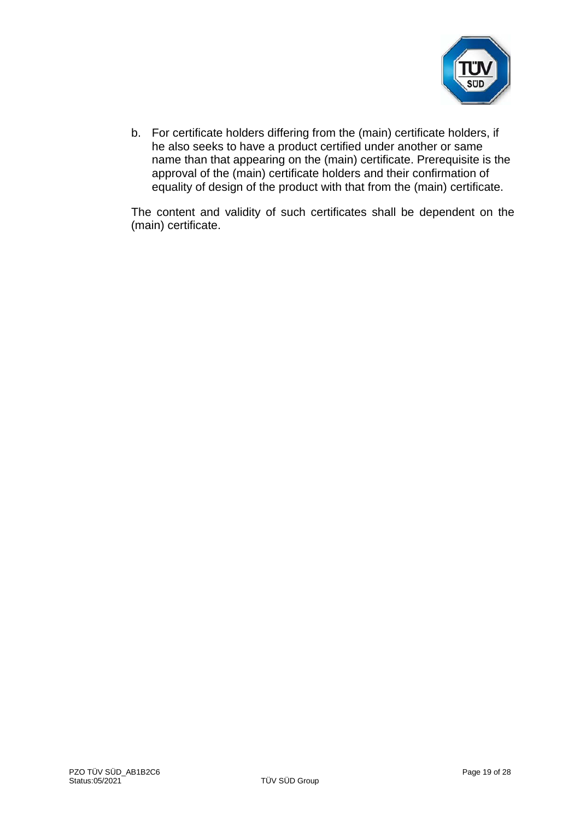

b. For certificate holders differing from the (main) certificate holders, if he also seeks to have a product certified under another or same name than that appearing on the (main) certificate. Prerequisite is the approval of the (main) certificate holders and their confirmation of equality of design of the product with that from the (main) certificate.

The content and validity of such certificates shall be dependent on the (main) certificate.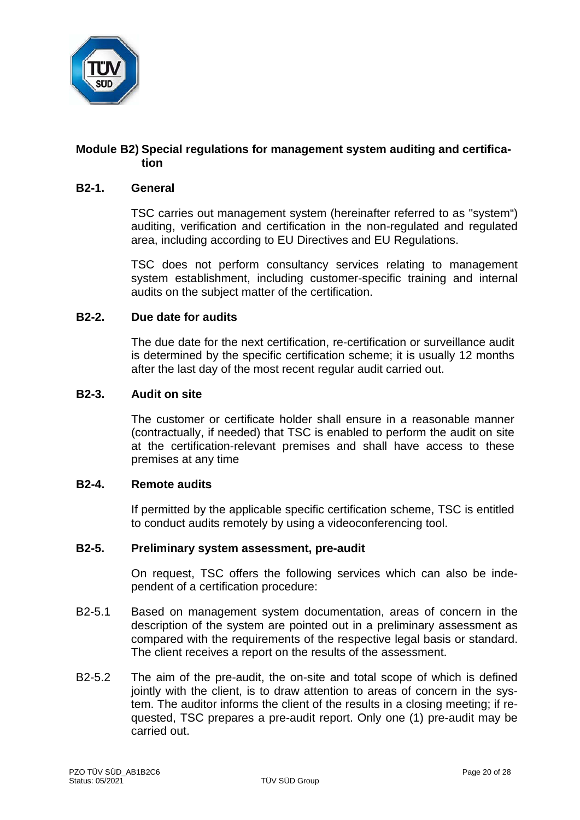

# **Module B2) Special regulations for management system auditing and certification**

# **B2-1. General**

TSC carries out management system (hereinafter referred to as "system") auditing, verification and certification in the non-regulated and regulated area, including according to EU Directives and EU Regulations.

TSC does not perform consultancy services relating to management system establishment, including customer-specific training and internal audits on the subject matter of the certification.

## **B2-2. Due date for audits**

The due date for the next certification, re-certification or surveillance audit is determined by the specific certification scheme; it is usually 12 months after the last day of the most recent regular audit carried out.

#### **B2-3. Audit on site**

The customer or certificate holder shall ensure in a reasonable manner (contractually, if needed) that TSC is enabled to perform the audit on site at the certification-relevant premises and shall have access to these premises at any time

#### **B2-4. Remote audits**

If permitted by the applicable specific certification scheme, TSC is entitled to conduct audits remotely by using a videoconferencing tool.

#### **B2-5. Preliminary system assessment, pre-audit**

On request, TSC offers the following services which can also be independent of a certification procedure:

- B2-5.1 Based on management system documentation, areas of concern in the description of the system are pointed out in a preliminary assessment as compared with the requirements of the respective legal basis or standard. The client receives a report on the results of the assessment.
- B2-5.2 The aim of the pre-audit, the on-site and total scope of which is defined jointly with the client, is to draw attention to areas of concern in the system. The auditor informs the client of the results in a closing meeting; if requested, TSC prepares a pre-audit report. Only one (1) pre-audit may be carried out.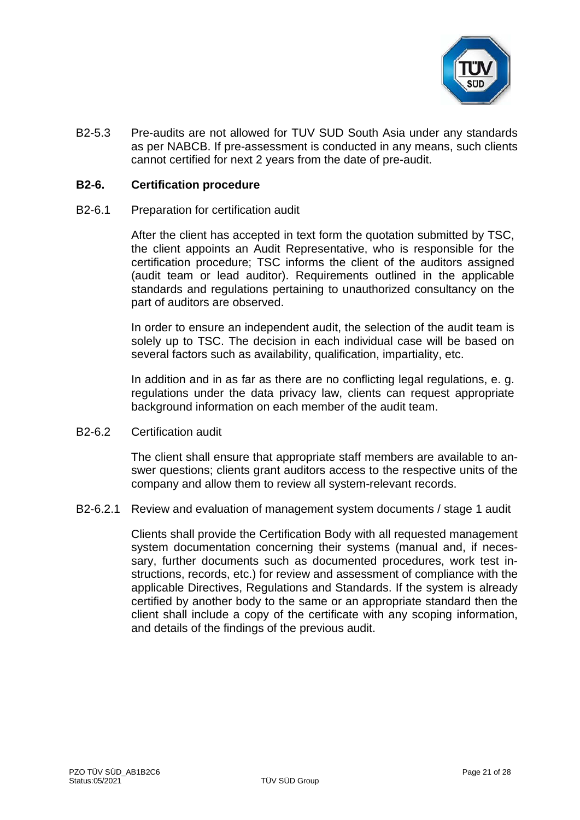

B2-5.3 Pre-audits are not allowed for TUV SUD South Asia under any standards as per NABCB. If pre-assessment is conducted in any means, such clients cannot certified for next 2 years from the date of pre-audit.

### **B2-6. Certification procedure**

B2-6.1 Preparation for certification audit

After the client has accepted in text form the quotation submitted by TSC, the client appoints an Audit Representative, who is responsible for the certification procedure; TSC informs the client of the auditors assigned (audit team or lead auditor). Requirements outlined in the applicable standards and regulations pertaining to unauthorized consultancy on the part of auditors are observed.

In order to ensure an independent audit, the selection of the audit team is solely up to TSC. The decision in each individual case will be based on several factors such as availability, qualification, impartiality, etc.

In addition and in as far as there are no conflicting legal regulations, e. g. regulations under the data privacy law, clients can request appropriate background information on each member of the audit team.

B2-6.2 Certification audit

The client shall ensure that appropriate staff members are available to answer questions; clients grant auditors access to the respective units of the company and allow them to review all system-relevant records.

B2-6.2.1 Review and evaluation of management system documents / stage 1 audit

Clients shall provide the Certification Body with all requested management system documentation concerning their systems (manual and, if necessary, further documents such as documented procedures, work test instructions, records, etc.) for review and assessment of compliance with the applicable Directives, Regulations and Standards. If the system is already certified by another body to the same or an appropriate standard then the client shall include a copy of the certificate with any scoping information, and details of the findings of the previous audit.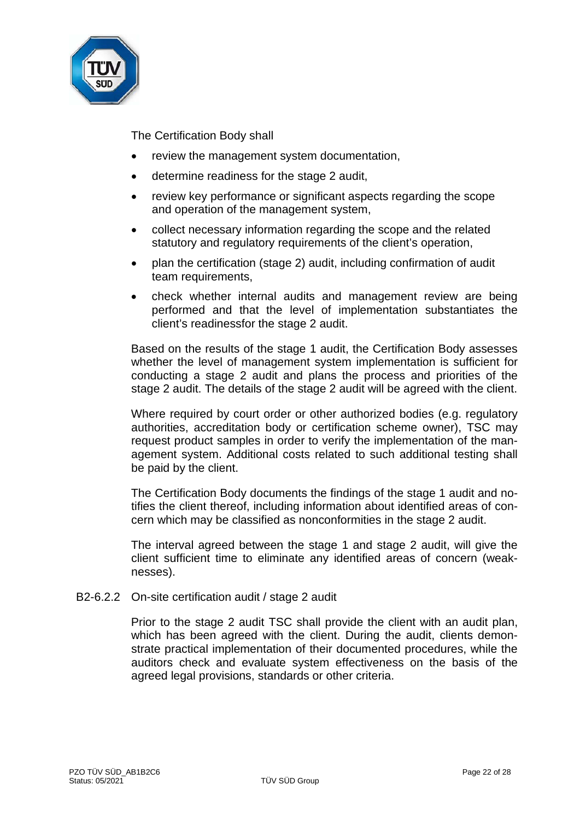

The Certification Body shall

- review the management system documentation,
- determine readiness for the stage 2 audit,
- review key performance or significant aspects regarding the scope and operation of the management system,
- collect necessary information regarding the scope and the related statutory and regulatory requirements of the client's operation,
- plan the certification (stage 2) audit, including confirmation of audit team requirements,
- check whether internal audits and management review are being performed and that the level of implementation substantiates the client's readinessfor the stage 2 audit.

Based on the results of the stage 1 audit, the Certification Body assesses whether the level of management system implementation is sufficient for conducting a stage 2 audit and plans the process and priorities of the stage 2 audit. The details of the stage 2 audit will be agreed with the client.

Where required by court order or other authorized bodies (e.g. regulatory authorities, accreditation body or certification scheme owner), TSC may request product samples in order to verify the implementation of the management system. Additional costs related to such additional testing shall be paid by the client.

The Certification Body documents the findings of the stage 1 audit and notifies the client thereof, including information about identified areas of concern which may be classified as nonconformities in the stage 2 audit.

The interval agreed between the stage 1 and stage 2 audit, will give the client sufficient time to eliminate any identified areas of concern (weaknesses).

B2-6.2.2 On-site certification audit / stage 2 audit

Prior to the stage 2 audit TSC shall provide the client with an audit plan, which has been agreed with the client. During the audit, clients demonstrate practical implementation of their documented procedures, while the auditors check and evaluate system effectiveness on the basis of the agreed legal provisions, standards or other criteria.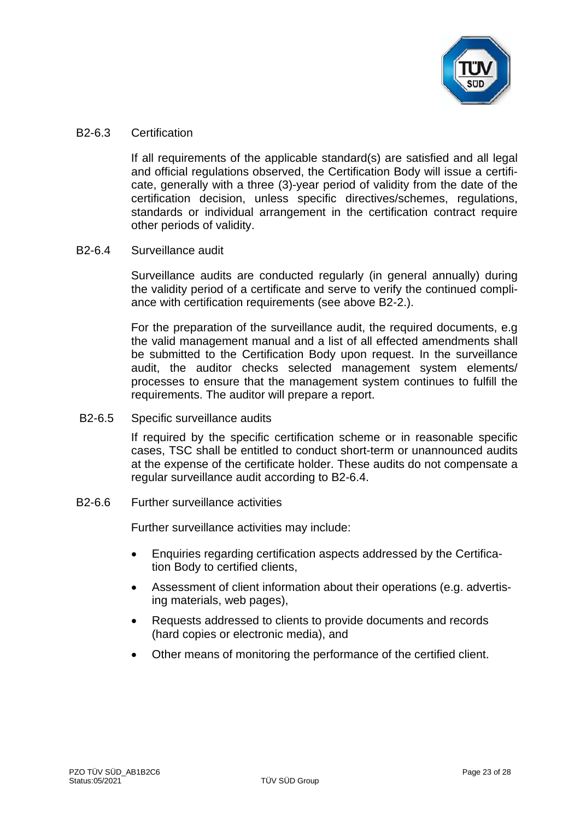

## B2-6.3 Certification

If all requirements of the applicable standard(s) are satisfied and all legal and official regulations observed, the Certification Body will issue a certificate, generally with a three (3)-year period of validity from the date of the certification decision, unless specific directives/schemes, regulations, standards or individual arrangement in the certification contract require other periods of validity.

# B2-6.4 Surveillance audit

Surveillance audits are conducted regularly (in general annually) during the validity period of a certificate and serve to verify the continued compliance with certification requirements (see above B2-2.).

For the preparation of the surveillance audit, the required documents, e.g the valid management manual and a list of all effected amendments shall be submitted to the Certification Body upon request. In the surveillance audit, the auditor checks selected management system elements/ processes to ensure that the management system continues to fulfill the requirements. The auditor will prepare a report.

B2-6.5 Specific surveillance audits

If required by the specific certification scheme or in reasonable specific cases, TSC shall be entitled to conduct short-term or unannounced audits at the expense of the certificate holder. These audits do not compensate a regular surveillance audit according to B2-6.4.

B2-6.6 Further surveillance activities

Further surveillance activities may include:

- Enquiries regarding certification aspects addressed by the Certification Body to certified clients,
- Assessment of client information about their operations (e.g. advertising materials, web pages),
- Requests addressed to clients to provide documents and records (hard copies or electronic media), and
- Other means of monitoring the performance of the certified client.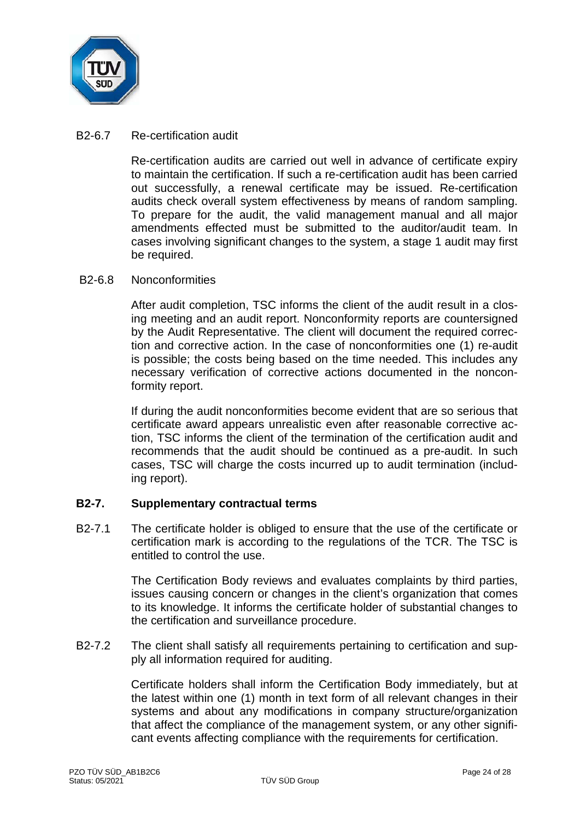

## B2-6.7 Re-certification audit

Re-certification audits are carried out well in advance of certificate expiry to maintain the certification. If such a re-certification audit has been carried out successfully, a renewal certificate may be issued. Re-certification audits check overall system effectiveness by means of random sampling. To prepare for the audit, the valid management manual and all major amendments effected must be submitted to the auditor/audit team. In cases involving significant changes to the system, a stage 1 audit may first be required.

## B2-6.8 Nonconformities

After audit completion, TSC informs the client of the audit result in a closing meeting and an audit report. Nonconformity reports are countersigned by the Audit Representative. The client will document the required correction and corrective action. In the case of nonconformities one (1) re-audit is possible; the costs being based on the time needed. This includes any necessary verification of corrective actions documented in the nonconformity report.

If during the audit nonconformities become evident that are so serious that certificate award appears unrealistic even after reasonable corrective action, TSC informs the client of the termination of the certification audit and recommends that the audit should be continued as a pre-audit. In such cases, TSC will charge the costs incurred up to audit termination (including report).

# **B2-7. Supplementary contractual terms**

B2-7.1 The certificate holder is obliged to ensure that the use of the certificate or certification mark is according to the regulations of the TCR. The TSC is entitled to control the use.

> The Certification Body reviews and evaluates complaints by third parties, issues causing concern or changes in the client's organization that comes to its knowledge. It informs the certificate holder of substantial changes to the certification and surveillance procedure.

B2-7.2 The client shall satisfy all requirements pertaining to certification and supply all information required for auditing.

> Certificate holders shall inform the Certification Body immediately, but at the latest within one (1) month in text form of all relevant changes in their systems and about any modifications in company structure/organization that affect the compliance of the management system, or any other significant events affecting compliance with the requirements for certification.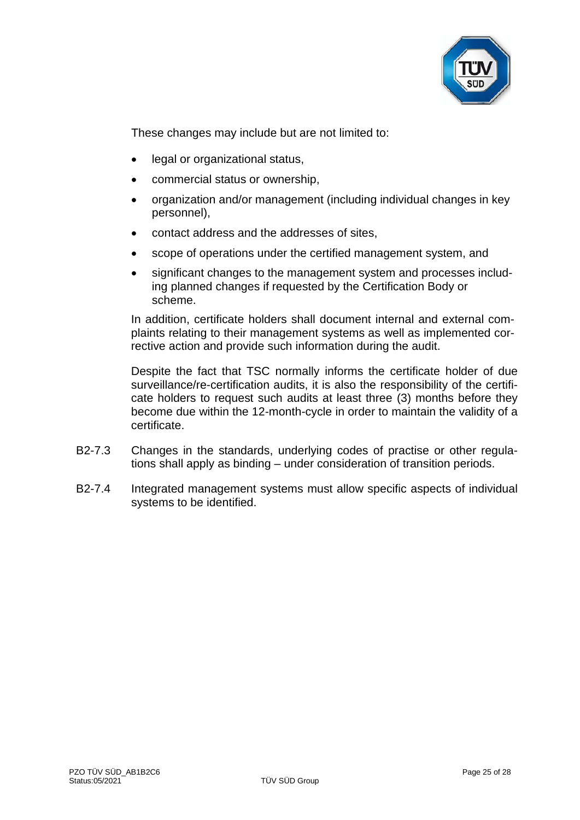

These changes may include but are not limited to:

- legal or organizational status,
- commercial status or ownership,
- organization and/or management (including individual changes in key personnel),
- contact address and the addresses of sites,
- scope of operations under the certified management system, and
- significant changes to the management system and processes including planned changes if requested by the Certification Body or scheme.

In addition, certificate holders shall document internal and external complaints relating to their management systems as well as implemented corrective action and provide such information during the audit.

Despite the fact that TSC normally informs the certificate holder of due surveillance/re-certification audits, it is also the responsibility of the certificate holders to request such audits at least three (3) months before they become due within the 12-month-cycle in order to maintain the validity of a certificate.

- B2-7.3 Changes in the standards, underlying codes of practise or other regulations shall apply as binding – under consideration of transition periods.
- B2-7.4 Integrated management systems must allow specific aspects of individual systems to be identified.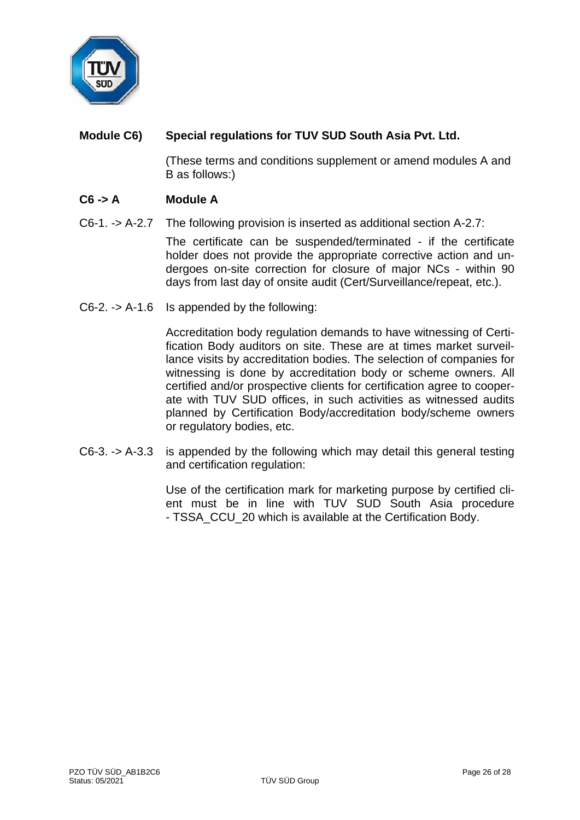

# **Module C6) Special regulations for TUV SUD South Asia Pvt. Ltd.**

(These terms and conditions supplement or amend modules A and B as follows:)

# **C6 -> A Module A**

C6-1. -> A-2.7 The following provision is inserted as additional section A-2.7:

The certificate can be suspended/terminated - if the certificate holder does not provide the appropriate corrective action and undergoes on-site correction for closure of major NCs - within 90 days from last day of onsite audit (Cert/Surveillance/repeat, etc.).

C6-2. -> A-1.6 Is appended by the following:

Accreditation body regulation demands to have witnessing of Certification Body auditors on site. These are at times market surveillance visits by accreditation bodies. The selection of companies for witnessing is done by accreditation body or scheme owners. All certified and/or prospective clients for certification agree to cooperate with TUV SUD offices, in such activities as witnessed audits planned by Certification Body/accreditation body/scheme owners or regulatory bodies, etc.

C6-3. -> A-3.3 is appended by the following which may detail this general testing and certification regulation:

> Use of the certification mark for marketing purpose by certified client must be in line with TUV SUD South Asia procedure - TSSA\_CCU\_20 which is available at the Certification Body.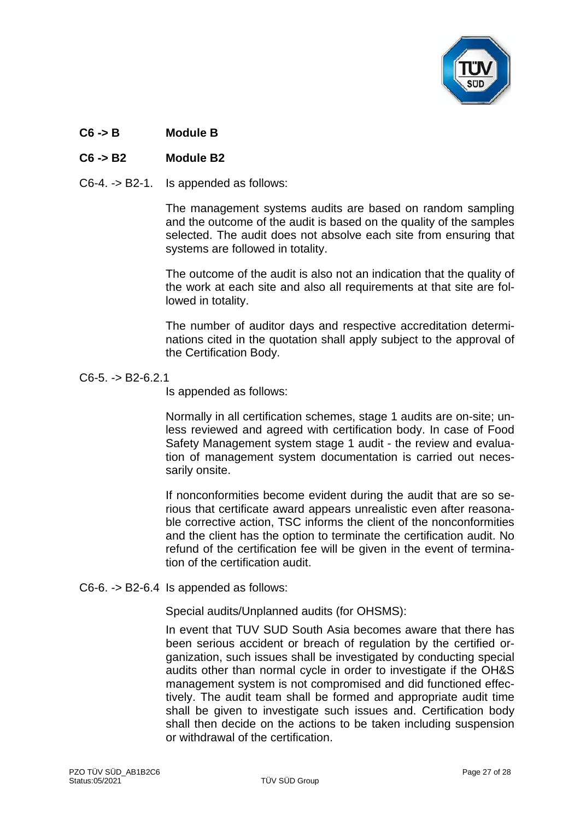

# **C6 -> B Module B**

# **C6 -> B2 Module B2**

C6-4. -> B2-1. Is appended as follows:

The management systems audits are based on random sampling and the outcome of the audit is based on the quality of the samples selected. The audit does not absolve each site from ensuring that systems are followed in totality.

The outcome of the audit is also not an indication that the quality of the work at each site and also all requirements at that site are followed in totality.

The number of auditor days and respective accreditation determinations cited in the quotation shall apply subject to the approval of the Certification Body.

#### C6-5. -> B2-6.2.1

Is appended as follows:

Normally in all certification schemes, stage 1 audits are on-site; unless reviewed and agreed with certification body. In case of Food Safety Management system stage 1 audit - the review and evaluation of management system documentation is carried out necessarily onsite.

If nonconformities become evident during the audit that are so serious that certificate award appears unrealistic even after reasonable corrective action, TSC informs the client of the nonconformities and the client has the option to terminate the certification audit. No refund of the certification fee will be given in the event of termination of the certification audit.

#### C6-6. -> B2-6.4 Is appended as follows:

Special audits/Unplanned audits (for OHSMS):

In event that TUV SUD South Asia becomes aware that there has been serious accident or breach of regulation by the certified organization, such issues shall be investigated by conducting special audits other than normal cycle in order to investigate if the OH&S management system is not compromised and did functioned effectively. The audit team shall be formed and appropriate audit time shall be given to investigate such issues and. Certification body shall then decide on the actions to be taken including suspension or withdrawal of the certification.